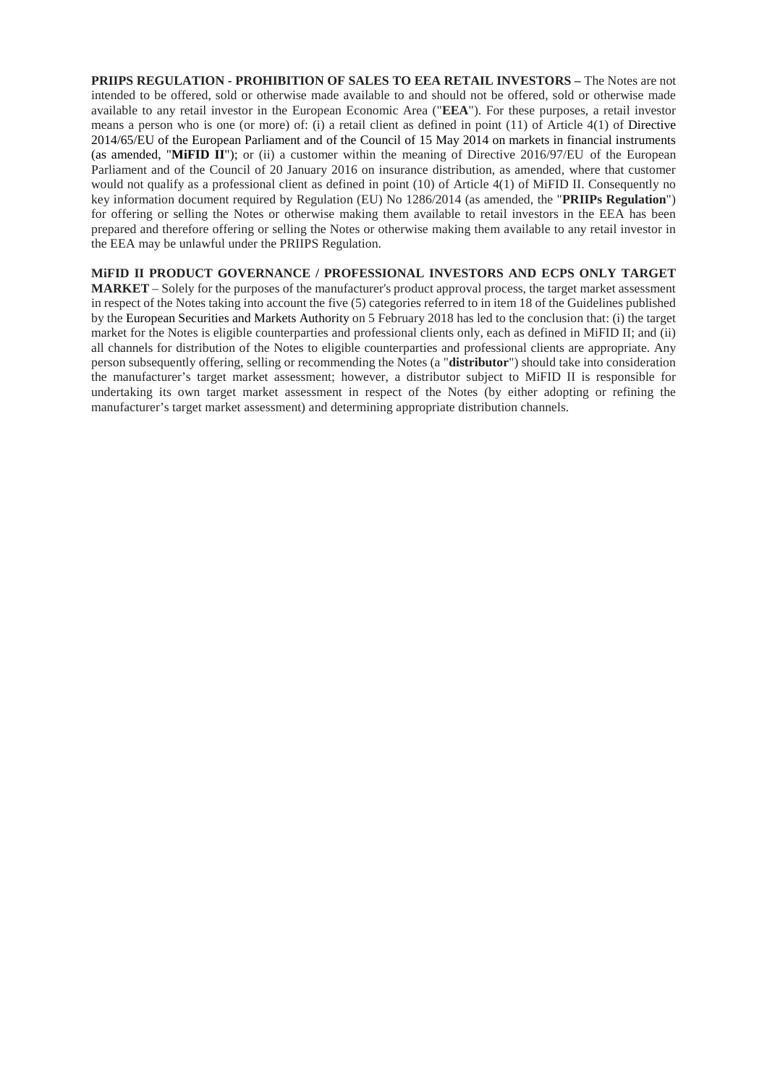**PRIIPS REGULATION - PROHIBITION OF SALES TO EEA RETAIL INVESTORS –** The Notes are not intended to be offered, sold or otherwise made available to and should not be offered, sold or otherwise made available to any retail investor in the European Economic Area ("**EEA**"). For these purposes, a retail investor means a person who is one (or more) of: (i) a retail client as defined in point (11) of Article 4(1) of Directive 2014/65/EU of the European Parliament and of the Council of 15 May 2014 on markets in financial instruments (as amended, "**MiFID II**"); or (ii) a customer within the meaning of Directive 2016/97/EU of the European Parliament and of the Council of 20 January 2016 on insurance distribution, as amended, where that customer would not qualify as a professional client as defined in point (10) of Article 4(1) of MiFID II. Consequently no key information document required by Regulation (EU) No 1286/2014 (as amended, the "**PRIIPs Regulation**") for offering or selling the Notes or otherwise making them available to retail investors in the EEA has been prepared and therefore offering or selling the Notes or otherwise making them available to any retail investor in the EEA may be unlawful under the PRIIPS Regulation.

**MiFID II PRODUCT GOVERNANCE / PROFESSIONAL INVESTORS AND ECPS ONLY TARGET MARKET** – Solely for the purposes of the manufacturer's product approval process, the target market assessment in respect of the Notes taking into account the five (5) categories referred to in item 18 of the Guidelines published by the European Securities and Markets Authority on 5 February 2018 has led to the conclusion that: (i) the target market for the Notes is eligible counterparties and professional clients only, each as defined in MiFID II; and (ii) all channels for distribution of the Notes to eligible counterparties and professional clients are appropriate. Any person subsequently offering, selling or recommending the Notes (a "**distributor**") should take into consideration the manufacturer's target market assessment; however, a distributor subject to MiFID II is responsible for undertaking its own target market assessment in respect of the Notes (by either adopting or refining the manufacturer's target market assessment) and determining appropriate distribution channels.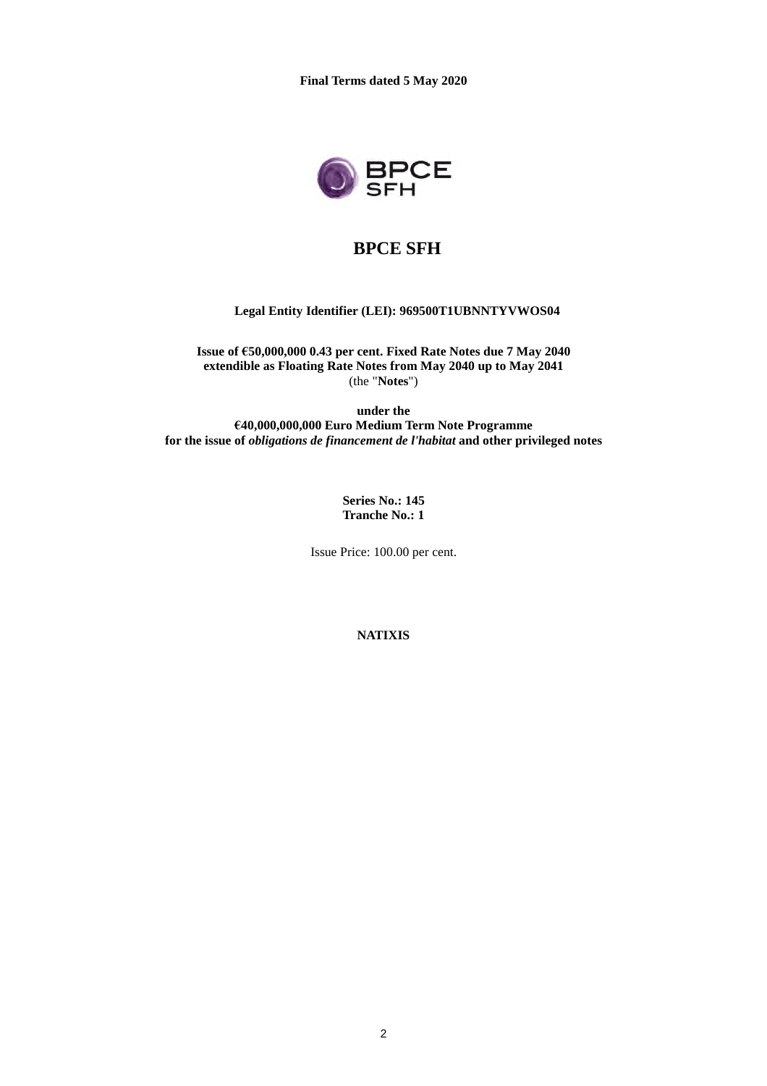

# **BPCE SFH**

#### **Legal Entity Identifier (LEI): 969500T1UBNNTYVWOS04**

**Issue of €50,000,000 0.43 per cent. Fixed Rate Notes due 7 May 2040 extendible as Floating Rate Notes from May 2040 up to May 2041** (the "**Notes**")

**under the €40,000,000,000 Euro Medium Term Note Programme for the issue of** *obligations de financement de l'habitat* **and other privileged notes**

> **Series No.: 145 Tranche No.: 1**

Issue Price: 100.00 per cent.

**NATIXIS**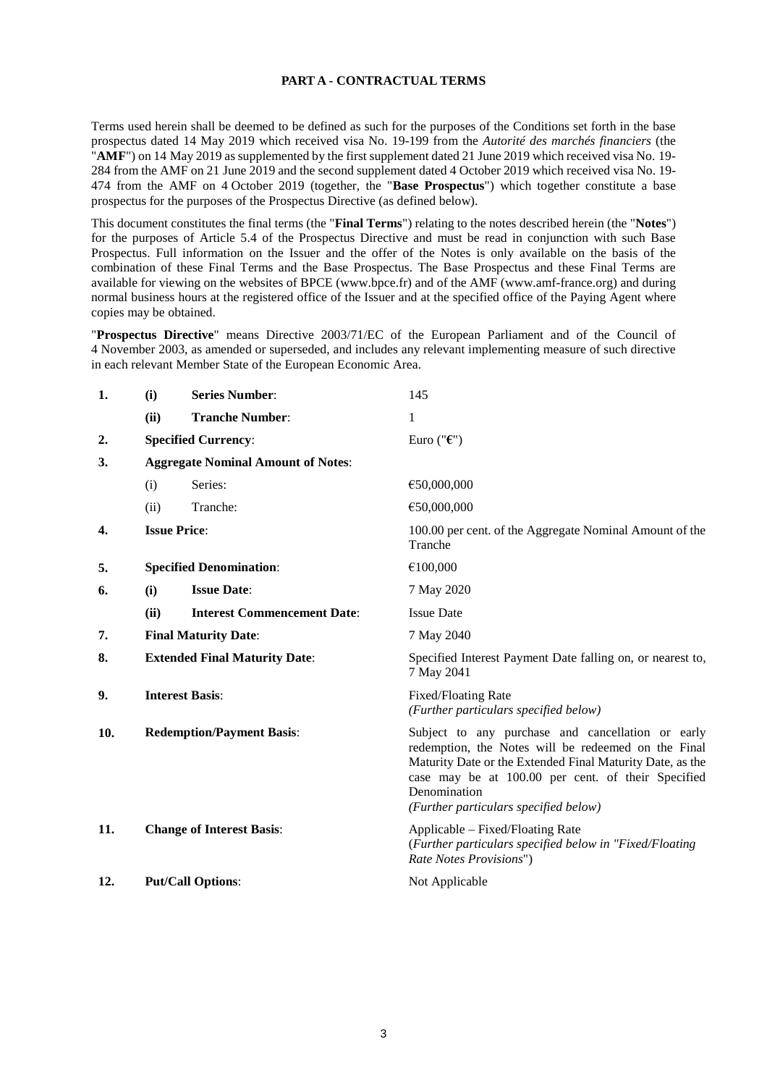### **PART A - CONTRACTUAL TERMS**

Terms used herein shall be deemed to be defined as such for the purposes of the Conditions set forth in the base prospectus dated 14 May 2019 which received visa No. 19-199 from the *Autorité des marchés financiers* (the "**AMF**") on 14 May 2019 as supplemented by the first supplement dated 21 June 2019 which received visa No. 19- 284 from the AMF on 21 June 2019 and the second supplement dated 4 October 2019 which received visa No. 19- 474 from the AMF on 4 October 2019 (together, the "**Base Prospectus**") which together constitute a base prospectus for the purposes of the Prospectus Directive (as defined below).

This document constitutes the final terms (the "**Final Terms**") relating to the notes described herein (the "**Notes**") for the purposes of Article 5.4 of the Prospectus Directive and must be read in conjunction with such Base Prospectus. Full information on the Issuer and the offer of the Notes is only available on the basis of the combination of these Final Terms and the Base Prospectus. The Base Prospectus and these Final Terms are available for viewing on the websites of BPCE (www.bpce.fr) and of the AMF (www.amf-france.org) and during normal business hours at the registered office of the Issuer and at the specified office of the Paying Agent where copies may be obtained.

"**Prospectus Directive**" means Directive 2003/71/EC of the European Parliament and of the Council of 4 November 2003, as amended or superseded, and includes any relevant implementing measure of such directive in each relevant Member State of the European Economic Area.

| 1.  | (i)                                       | <b>Series Number:</b>              | 145                                                                                                                                                                                                                                                                                  |
|-----|-------------------------------------------|------------------------------------|--------------------------------------------------------------------------------------------------------------------------------------------------------------------------------------------------------------------------------------------------------------------------------------|
|     | (ii)                                      | <b>Tranche Number:</b>             | 1                                                                                                                                                                                                                                                                                    |
| 2.  |                                           | <b>Specified Currency:</b>         | Euro (" $\epsilon$ ")                                                                                                                                                                                                                                                                |
| 3.  | <b>Aggregate Nominal Amount of Notes:</b> |                                    |                                                                                                                                                                                                                                                                                      |
|     | (i)                                       | Series:                            | €50,000,000                                                                                                                                                                                                                                                                          |
|     | (ii)                                      | Tranche:                           | €50,000,000                                                                                                                                                                                                                                                                          |
| 4.  | <b>Issue Price:</b>                       |                                    | 100.00 per cent. of the Aggregate Nominal Amount of the<br>Tranche                                                                                                                                                                                                                   |
| 5.  |                                           | <b>Specified Denomination:</b>     | €100,000                                                                                                                                                                                                                                                                             |
| 6.  | (i)                                       | <b>Issue Date:</b>                 | 7 May 2020                                                                                                                                                                                                                                                                           |
|     | (ii)                                      | <b>Interest Commencement Date:</b> | <b>Issue Date</b>                                                                                                                                                                                                                                                                    |
| 7.  | <b>Final Maturity Date:</b>               |                                    | 7 May 2040                                                                                                                                                                                                                                                                           |
| 8.  | <b>Extended Final Maturity Date:</b>      |                                    | Specified Interest Payment Date falling on, or nearest to,<br>7 May 2041                                                                                                                                                                                                             |
| 9.  | <b>Interest Basis:</b>                    |                                    | Fixed/Floating Rate<br>(Further particulars specified below)                                                                                                                                                                                                                         |
| 10. |                                           | <b>Redemption/Payment Basis:</b>   | Subject to any purchase and cancellation or early<br>redemption, the Notes will be redeemed on the Final<br>Maturity Date or the Extended Final Maturity Date, as the<br>case may be at 100.00 per cent. of their Specified<br>Denomination<br>(Further particulars specified below) |
| 11. |                                           | <b>Change of Interest Basis:</b>   | Applicable – Fixed/Floating Rate<br>(Further particulars specified below in "Fixed/Floating<br>Rate Notes Provisions")                                                                                                                                                               |
| 12. |                                           | <b>Put/Call Options:</b>           | Not Applicable                                                                                                                                                                                                                                                                       |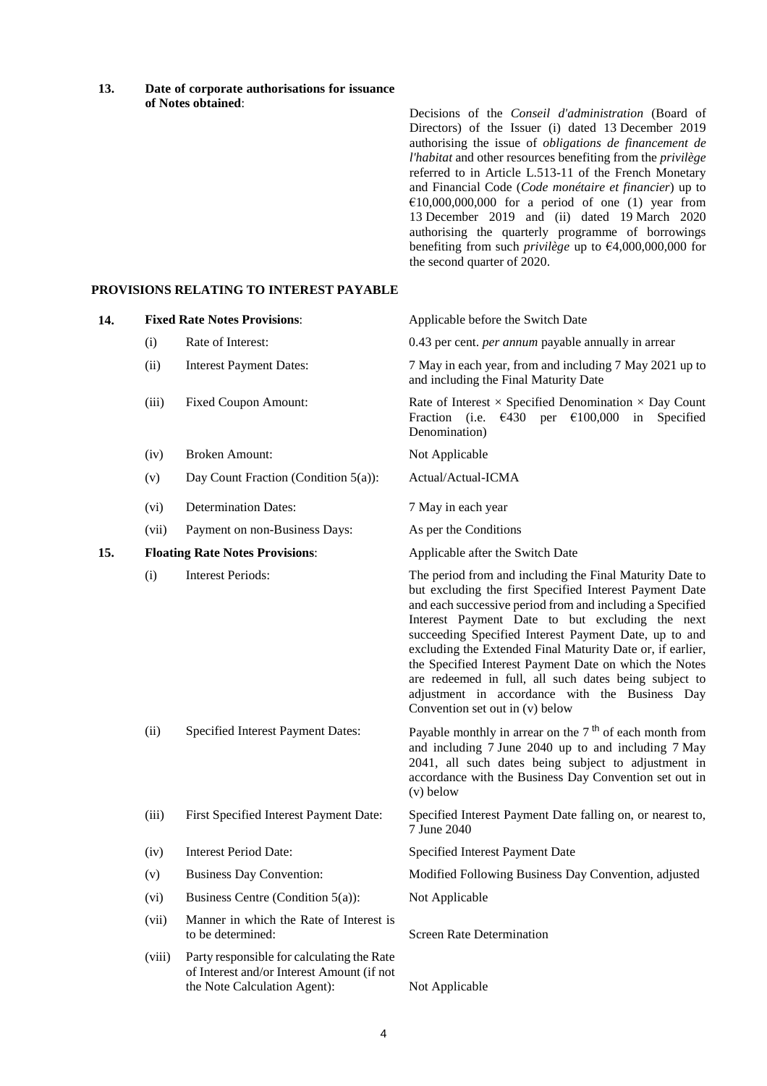**13. Date of corporate authorisations for issuance of Notes obtained**:

Decisions of the *Conseil d'administration* (Board of Directors) of the Issuer (i) dated 13 December 2019 authorising the issue of *obligations de financement de l'habitat* and other resources benefiting from the *privilège* referred to in Article L.513-11 of the French Monetary and Financial Code (*Code monétaire et financier*) up to  $£10,000,000,000$  for a period of one (1) year from 13 December 2019 and (ii) dated 19 March 2020 authorising the quarterly programme of borrowings benefiting from such *privilège* up to €4,000,000,000 for the second quarter of 2020.

#### **PROVISIONS RELATING TO INTEREST PAYABLE**

| 14. |        | <b>Fixed Rate Notes Provisions:</b>                                                                                      | Applicable before the Switch Date                                                                                                                                                                                                                                                                                                                                                                                                                                                                                                                                  |
|-----|--------|--------------------------------------------------------------------------------------------------------------------------|--------------------------------------------------------------------------------------------------------------------------------------------------------------------------------------------------------------------------------------------------------------------------------------------------------------------------------------------------------------------------------------------------------------------------------------------------------------------------------------------------------------------------------------------------------------------|
|     | (i)    | Rate of Interest:                                                                                                        | 0.43 per cent. <i>per annum</i> payable annually in arrear                                                                                                                                                                                                                                                                                                                                                                                                                                                                                                         |
|     | (ii)   | <b>Interest Payment Dates:</b>                                                                                           | 7 May in each year, from and including 7 May 2021 up to<br>and including the Final Maturity Date                                                                                                                                                                                                                                                                                                                                                                                                                                                                   |
|     | (iii)  | <b>Fixed Coupon Amount:</b>                                                                                              | Rate of Interest $\times$ Specified Denomination $\times$ Day Count<br>Fraction (i.e. $\epsilon$ 430 per $\epsilon$ 100,000 in Specified<br>Denomination)                                                                                                                                                                                                                                                                                                                                                                                                          |
|     | (iv)   | <b>Broken Amount:</b>                                                                                                    | Not Applicable                                                                                                                                                                                                                                                                                                                                                                                                                                                                                                                                                     |
|     | (v)    | Day Count Fraction (Condition 5(a)):                                                                                     | Actual/Actual-ICMA                                                                                                                                                                                                                                                                                                                                                                                                                                                                                                                                                 |
|     | (vi)   | <b>Determination Dates:</b>                                                                                              | 7 May in each year                                                                                                                                                                                                                                                                                                                                                                                                                                                                                                                                                 |
|     | (vii)  | Payment on non-Business Days:                                                                                            | As per the Conditions                                                                                                                                                                                                                                                                                                                                                                                                                                                                                                                                              |
| 15. |        | <b>Floating Rate Notes Provisions:</b>                                                                                   | Applicable after the Switch Date                                                                                                                                                                                                                                                                                                                                                                                                                                                                                                                                   |
|     | (i)    | <b>Interest Periods:</b>                                                                                                 | The period from and including the Final Maturity Date to<br>but excluding the first Specified Interest Payment Date<br>and each successive period from and including a Specified<br>Interest Payment Date to but excluding the next<br>succeeding Specified Interest Payment Date, up to and<br>excluding the Extended Final Maturity Date or, if earlier,<br>the Specified Interest Payment Date on which the Notes<br>are redeemed in full, all such dates being subject to<br>adjustment in accordance with the Business Day<br>Convention set out in (v) below |
|     | (ii)   | Specified Interest Payment Dates:                                                                                        | Payable monthly in arrear on the $7th$ of each month from<br>and including 7 June 2040 up to and including 7 May<br>2041, all such dates being subject to adjustment in<br>accordance with the Business Day Convention set out in<br>$(v)$ below                                                                                                                                                                                                                                                                                                                   |
|     | (iii)  | First Specified Interest Payment Date:                                                                                   | Specified Interest Payment Date falling on, or nearest to,<br>7 June 2040                                                                                                                                                                                                                                                                                                                                                                                                                                                                                          |
|     | (iv)   | <b>Interest Period Date:</b>                                                                                             | Specified Interest Payment Date                                                                                                                                                                                                                                                                                                                                                                                                                                                                                                                                    |
|     | (v)    | <b>Business Day Convention:</b>                                                                                          | Modified Following Business Day Convention, adjusted                                                                                                                                                                                                                                                                                                                                                                                                                                                                                                               |
|     | (vi)   | Business Centre (Condition 5(a)):                                                                                        | Not Applicable                                                                                                                                                                                                                                                                                                                                                                                                                                                                                                                                                     |
|     | (vii)  | Manner in which the Rate of Interest is<br>to be determined:                                                             | <b>Screen Rate Determination</b>                                                                                                                                                                                                                                                                                                                                                                                                                                                                                                                                   |
|     | (viii) | Party responsible for calculating the Rate<br>of Interest and/or Interest Amount (if not<br>the Note Calculation Agent): | Not Applicable                                                                                                                                                                                                                                                                                                                                                                                                                                                                                                                                                     |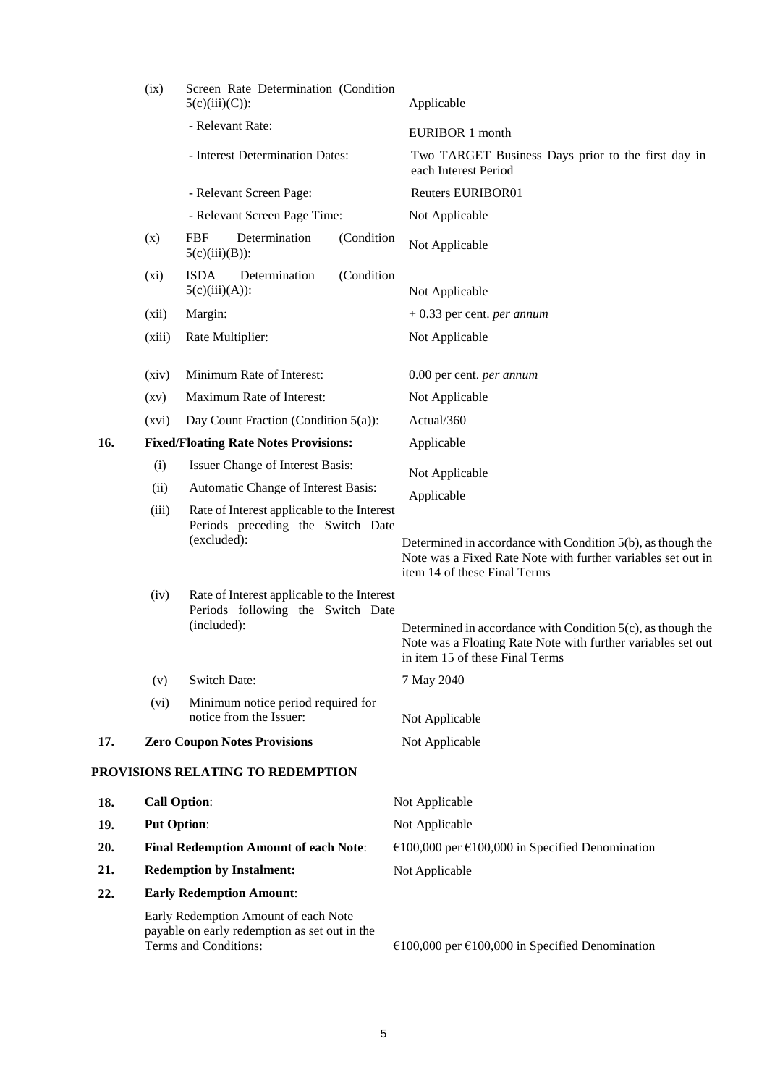|                                   | (ix)                                         | Screen Rate Determination (Condition<br>$5(c)(iii)(C))$ :                                                      | Applicable                                                                                                                                                        |
|-----------------------------------|----------------------------------------------|----------------------------------------------------------------------------------------------------------------|-------------------------------------------------------------------------------------------------------------------------------------------------------------------|
|                                   |                                              | - Relevant Rate:                                                                                               | <b>EURIBOR 1 month</b>                                                                                                                                            |
|                                   |                                              | - Interest Determination Dates:                                                                                | Two TARGET Business Days prior to the first day in<br>each Interest Period                                                                                        |
|                                   |                                              | - Relevant Screen Page:                                                                                        | <b>Reuters EURIBOR01</b>                                                                                                                                          |
|                                   |                                              | - Relevant Screen Page Time:                                                                                   | Not Applicable                                                                                                                                                    |
|                                   | (x)                                          | <b>FBF</b><br>Determination<br>(Condition<br>$5(c)(iii)(B))$ :                                                 | Not Applicable                                                                                                                                                    |
|                                   | $(x_i)$                                      | (Condition<br><b>ISDA</b><br>Determination<br>$5(c)(iii)(A))$ :                                                | Not Applicable                                                                                                                                                    |
|                                   | (xii)                                        | Margin:                                                                                                        | $+0.33$ per cent. <i>per annum</i>                                                                                                                                |
|                                   | (xiii)                                       | Rate Multiplier:                                                                                               | Not Applicable                                                                                                                                                    |
|                                   | (xiv)                                        | Minimum Rate of Interest:                                                                                      | 0.00 per cent. per annum                                                                                                                                          |
|                                   | $\left( xy\right)$                           | Maximum Rate of Interest:                                                                                      | Not Applicable                                                                                                                                                    |
|                                   | (xvi)                                        | Day Count Fraction (Condition 5(a)):                                                                           | Actual/360                                                                                                                                                        |
| 16.                               |                                              | <b>Fixed/Floating Rate Notes Provisions:</b>                                                                   | Applicable                                                                                                                                                        |
|                                   | (i)                                          | Issuer Change of Interest Basis:                                                                               | Not Applicable                                                                                                                                                    |
|                                   | (ii)                                         | Automatic Change of Interest Basis:                                                                            | Applicable                                                                                                                                                        |
|                                   | (iii)                                        | Rate of Interest applicable to the Interest<br>Periods preceding the Switch Date<br>(excluded):                | Determined in accordance with Condition 5(b), as though the<br>Note was a Fixed Rate Note with further variables set out in<br>item 14 of these Final Terms       |
|                                   | (iv)                                         | Rate of Interest applicable to the Interest<br>Periods following the Switch Date<br>(included):                | Determined in accordance with Condition $5(c)$ , as though the<br>Note was a Floating Rate Note with further variables set out<br>in item 15 of these Final Terms |
|                                   | (v)                                          | <b>Switch Date:</b>                                                                                            | 7 May 2040                                                                                                                                                        |
|                                   | (vi)                                         | Minimum notice period required for<br>notice from the Issuer:                                                  | Not Applicable                                                                                                                                                    |
| 17.                               |                                              | <b>Zero Coupon Notes Provisions</b>                                                                            | Not Applicable                                                                                                                                                    |
| PROVISIONS RELATING TO REDEMPTION |                                              |                                                                                                                |                                                                                                                                                                   |
| 18.                               | <b>Call Option:</b>                          |                                                                                                                | Not Applicable                                                                                                                                                    |
| 19.                               | <b>Put Option:</b>                           |                                                                                                                | Not Applicable                                                                                                                                                    |
| 20.                               | <b>Final Redemption Amount of each Note:</b> |                                                                                                                | €100,000 per €100,000 in Specified Denomination                                                                                                                   |
| 21.                               | <b>Redemption by Instalment:</b>             |                                                                                                                | Not Applicable                                                                                                                                                    |
| 22.                               |                                              | <b>Early Redemption Amount:</b>                                                                                |                                                                                                                                                                   |
|                                   |                                              | Early Redemption Amount of each Note<br>payable on early redemption as set out in the<br>Terms and Conditions: | €100,000 per €100,000 in Specified Denomination                                                                                                                   |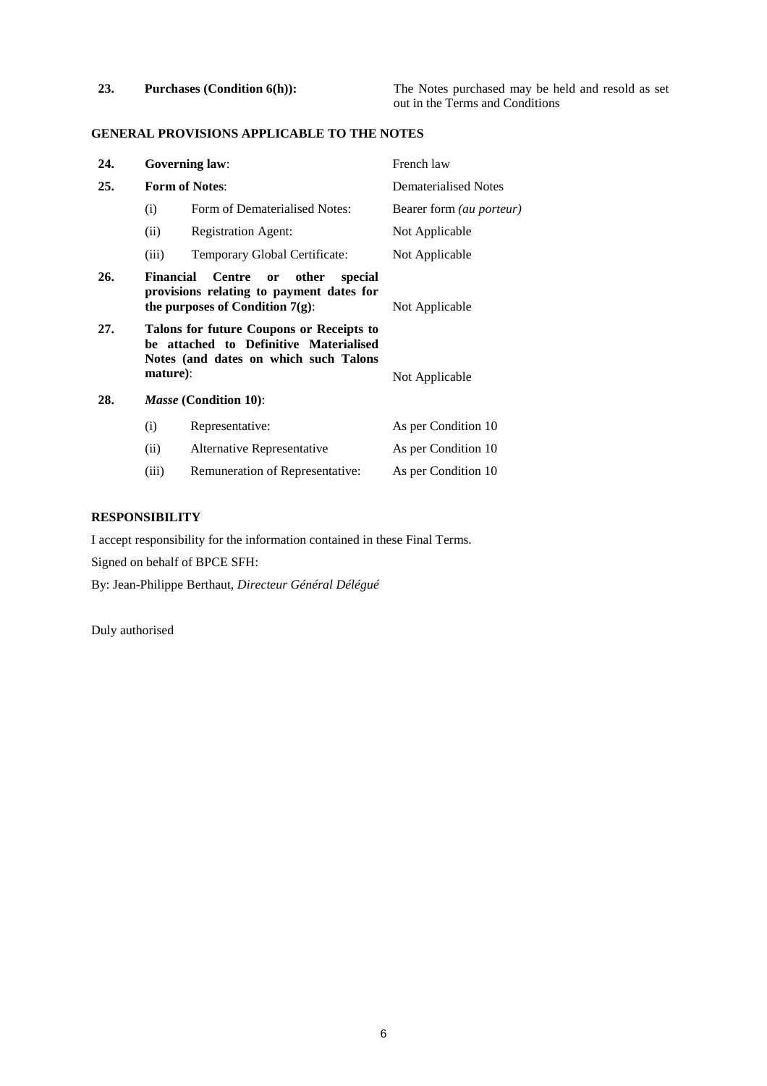# **GENERAL PROVISIONS APPLICABLE TO THE NOTES**

| 24. |                  | <b>Governing law:</b>                                                                                                       | French law                      |
|-----|------------------|-----------------------------------------------------------------------------------------------------------------------------|---------------------------------|
| 25. |                  | <b>Form of Notes:</b>                                                                                                       | Dematerialised Notes            |
|     | (i)              | Form of Dematerialised Notes:                                                                                               | Bearer form <i>(au porteur)</i> |
|     | (ii)             | Registration Agent:                                                                                                         | Not Applicable                  |
|     | (iii)            | Temporary Global Certificate:                                                                                               | Not Applicable                  |
| 26. | <b>Financial</b> | <b>Centre</b><br>other<br>special<br>or<br>provisions relating to payment dates for<br>the purposes of Condition $7(g)$ :   | Not Applicable                  |
| 27. | mature):         | Talons for future Coupons or Receipts to<br>be attached to Definitive Materialised<br>Notes (and dates on which such Talons | Not Applicable                  |
| 28. |                  | <i>Masse</i> (Condition 10):                                                                                                |                                 |
|     | (i)              | Representative:                                                                                                             | As per Condition 10             |
|     | (ii)             | Alternative Representative                                                                                                  | As per Condition 10             |
|     | (iii)            | Remuneration of Representative:                                                                                             | As per Condition 10             |

## **RESPONSIBILITY**

I accept responsibility for the information contained in these Final Terms.

Signed on behalf of BPCE SFH:

By: Jean-Philippe Berthaut, *Directeur Général Délégué*

Duly authorised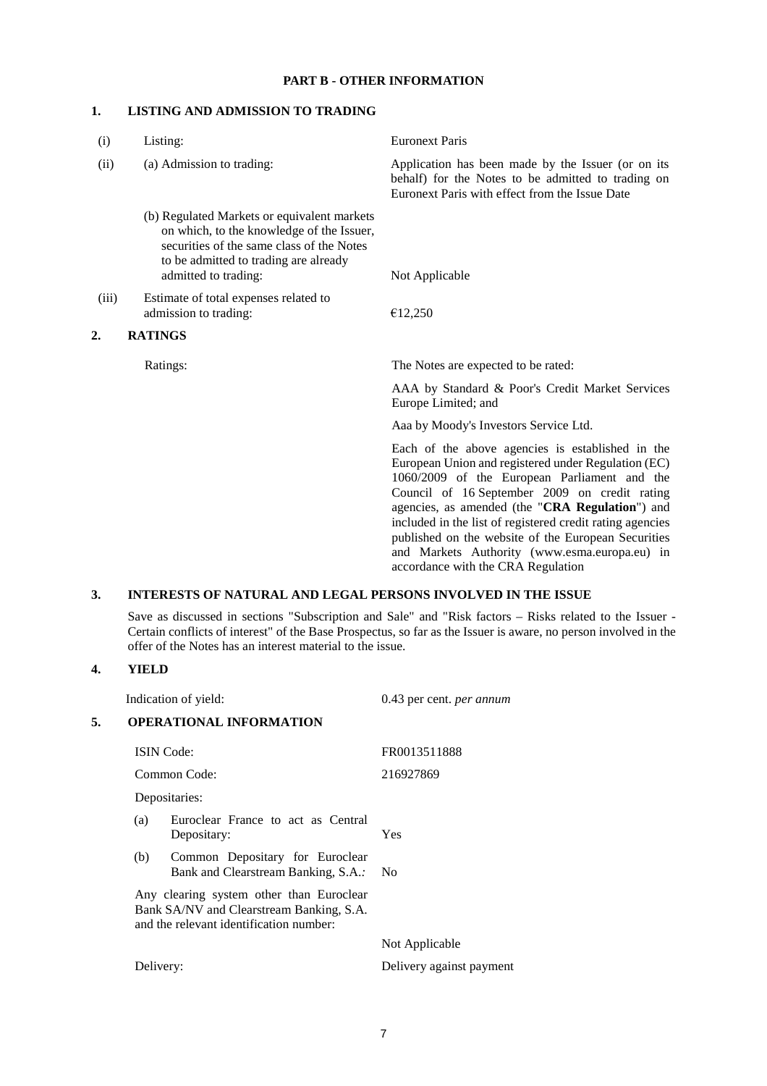#### **PART B - OTHER INFORMATION**

### **1. LISTING AND ADMISSION TO TRADING**

| (i)   | Listing:                                                                                                                                                                                               | <b>Euronext Paris</b>                                                                                                                                                                                                                                                                                                                                                                                                                                                  |
|-------|--------------------------------------------------------------------------------------------------------------------------------------------------------------------------------------------------------|------------------------------------------------------------------------------------------------------------------------------------------------------------------------------------------------------------------------------------------------------------------------------------------------------------------------------------------------------------------------------------------------------------------------------------------------------------------------|
| (ii)  | (a) Admission to trading:                                                                                                                                                                              | Application has been made by the Issuer (or on its<br>behalf) for the Notes to be admitted to trading on<br>Euronext Paris with effect from the Issue Date                                                                                                                                                                                                                                                                                                             |
|       | (b) Regulated Markets or equivalent markets<br>on which, to the knowledge of the Issuer,<br>securities of the same class of the Notes<br>to be admitted to trading are already<br>admitted to trading: | Not Applicable                                                                                                                                                                                                                                                                                                                                                                                                                                                         |
| (iii) | Estimate of total expenses related to<br>admission to trading:                                                                                                                                         | €12,250                                                                                                                                                                                                                                                                                                                                                                                                                                                                |
| 2.    | <b>RATINGS</b>                                                                                                                                                                                         |                                                                                                                                                                                                                                                                                                                                                                                                                                                                        |
|       | Ratings:                                                                                                                                                                                               | The Notes are expected to be rated:                                                                                                                                                                                                                                                                                                                                                                                                                                    |
|       |                                                                                                                                                                                                        | AAA by Standard & Poor's Credit Market Services<br>Europe Limited; and                                                                                                                                                                                                                                                                                                                                                                                                 |
|       |                                                                                                                                                                                                        | Aaa by Moody's Investors Service Ltd.                                                                                                                                                                                                                                                                                                                                                                                                                                  |
|       |                                                                                                                                                                                                        | Each of the above agencies is established in the<br>European Union and registered under Regulation (EC)<br>1060/2009 of the European Parliament and the<br>Council of 16 September 2009 on credit rating<br>agencies, as amended (the "CRA Regulation") and<br>included in the list of registered credit rating agencies<br>published on the website of the European Securities<br>and Markets Authority (www.esma.europa.eu) in<br>accordance with the CRA Regulation |

# **3. INTERESTS OF NATURAL AND LEGAL PERSONS INVOLVED IN THE ISSUE**

Save as discussed in sections "Subscription and Sale" and "Risk factors – Risks related to the Issuer - Certain conflicts of interest" of the Base Prospectus, so far as the Issuer is aware, no person involved in the offer of the Notes has an interest material to the issue.

### **4. YIELD**

|    |                                                                                                                                 | Indication of yield:                                                   | 0.43 per cent. <i>per annum</i> |
|----|---------------------------------------------------------------------------------------------------------------------------------|------------------------------------------------------------------------|---------------------------------|
| 5. |                                                                                                                                 | <b>OPERATIONAL INFORMATION</b>                                         |                                 |
|    |                                                                                                                                 | <b>ISIN</b> Code:                                                      | FR0013511888                    |
|    |                                                                                                                                 | Common Code:                                                           | 216927869                       |
|    |                                                                                                                                 | Depositaries:                                                          |                                 |
|    | (a)                                                                                                                             | Euroclear France to act as Central<br>Depositary:                      | Yes                             |
|    | (b)                                                                                                                             | Common Depositary for Euroclear<br>Bank and Clearstream Banking, S.A.: | N <sub>0</sub>                  |
|    | Any clearing system other than Euroclear<br>Bank SA/NV and Clearstream Banking, S.A.<br>and the relevant identification number: |                                                                        |                                 |
|    |                                                                                                                                 |                                                                        | Not Applicable                  |
|    | Delivery:                                                                                                                       |                                                                        | Delivery against payment        |